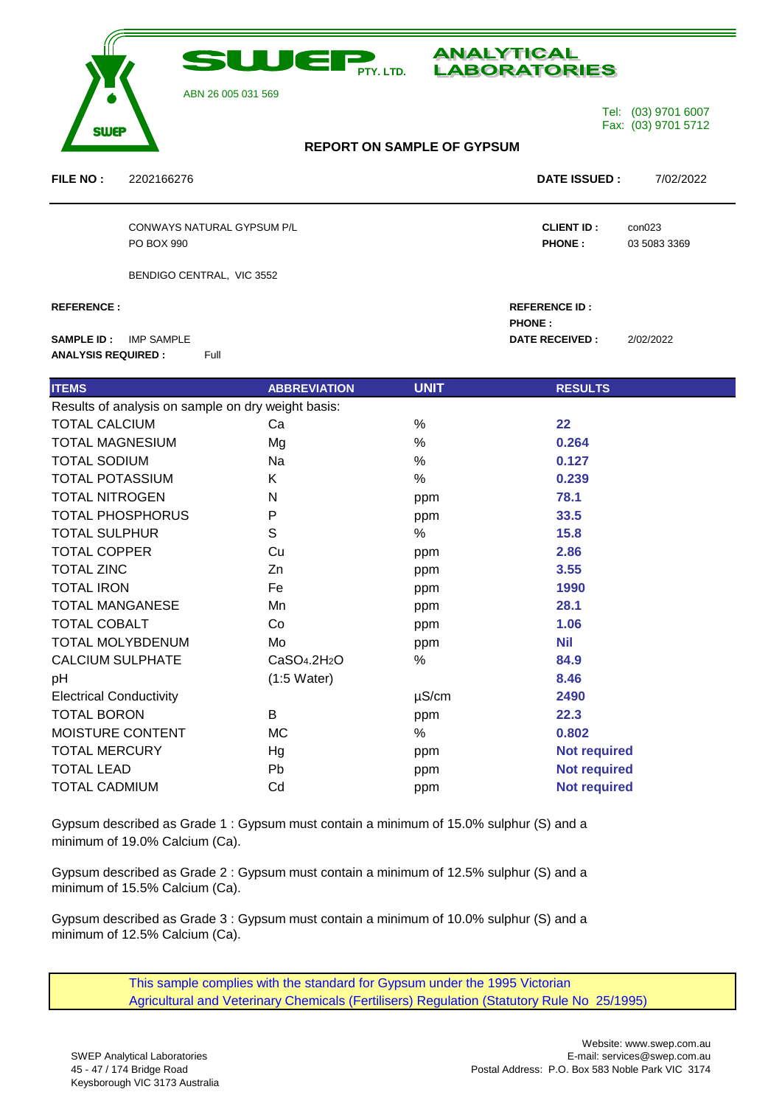



**PHONE :**

ABN 26 005 031 569

Tel: (03) 9701 6007 Fax: (03) 9701 5712

## **REPORT ON SAMPLE OF GYPSUM**

**FILE NO :** 2202166276 **DATE ISSUED :** 7/02/2022

em

CONWAYS NATURAL GYPSUM P/L **CLIENT ID :** con023 PO BOX 990 **PHONE :** 03 5083 3369

BENDIGO CENTRAL, VIC 3552

**REFERENCE : REFERENCE ID :**

**SAMPLE ID :** IMP SAMPLE **D DATE RECEIVED** : 2/02/2022 **ANALYSIS REQUIRED :** Full

| <b>ITEMS</b>                                       | <b>ABBREVIATION</b>     | <b>UNIT</b> | <b>RESULTS</b>      |
|----------------------------------------------------|-------------------------|-------------|---------------------|
| Results of analysis on sample on dry weight basis: |                         |             |                     |
| <b>TOTAL CALCIUM</b>                               | Ca                      | $\%$        | 22                  |
| <b>TOTAL MAGNESIUM</b>                             | Mg                      | %           | 0.264               |
| <b>TOTAL SODIUM</b>                                | Na                      | $\%$        | 0.127               |
| <b>TOTAL POTASSIUM</b>                             | K                       | %           | 0.239               |
| <b>TOTAL NITROGEN</b>                              | N                       | ppm         | 78.1                |
| <b>TOTAL PHOSPHORUS</b>                            | P                       | ppm         | 33.5                |
| <b>TOTAL SULPHUR</b>                               | S                       | %           | 15.8                |
| <b>TOTAL COPPER</b>                                | Cu                      | ppm         | 2.86                |
| <b>TOTAL ZINC</b>                                  | Zn                      | ppm         | 3.55                |
| <b>TOTAL IRON</b>                                  | Fe                      | ppm         | 1990                |
| <b>TOTAL MANGANESE</b>                             | Mn                      | ppm         | 28.1                |
| <b>TOTAL COBALT</b>                                | Co                      | ppm         | 1.06                |
| <b>TOTAL MOLYBDENUM</b>                            | Mo                      | ppm         | <b>Nil</b>          |
| <b>CALCIUM SULPHATE</b>                            | CaSO <sub>4.2H2</sub> O | %           | 84.9                |
| pH                                                 | $(1:5 \text{ Water})$   |             | 8.46                |
| <b>Electrical Conductivity</b>                     |                         | $\mu$ S/cm  | 2490                |
| <b>TOTAL BORON</b>                                 | В                       | ppm         | 22.3                |
| MOISTURE CONTENT                                   | MC                      | %           | 0.802               |
| <b>TOTAL MERCURY</b>                               | Hg                      | ppm         | <b>Not required</b> |
| <b>TOTAL LEAD</b>                                  | Pb                      | ppm         | <b>Not required</b> |
| <b>TOTAL CADMIUM</b>                               | Cd                      | ppm         | <b>Not required</b> |

Gypsum described as Grade 1 : Gypsum must contain a minimum of 15.0% sulphur (S) and a minimum of 19.0% Calcium (Ca).

Gypsum described as Grade 2 : Gypsum must contain a minimum of 12.5% sulphur (S) and a minimum of 15.5% Calcium (Ca).

Gypsum described as Grade 3 : Gypsum must contain a minimum of 10.0% sulphur (S) and a minimum of 12.5% Calcium (Ca).

> This sample complies with the standard for Gypsum under the 1995 Victorian Agricultural and Veterinary Chemicals (Fertilisers) Regulation (Statutory Rule No 25/1995)